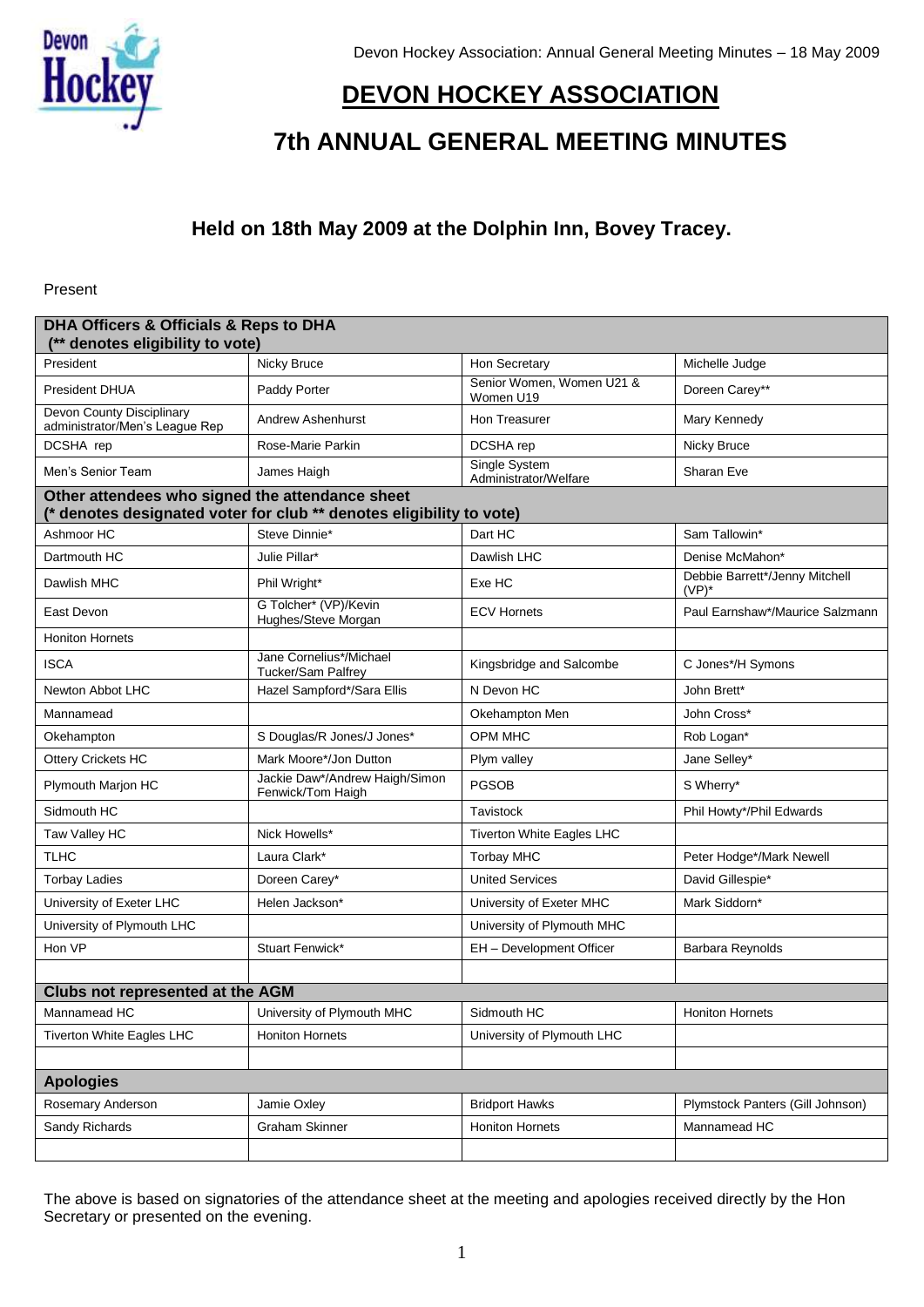

# **DEVON HOCKEY ASSOCIATION**

# **7th ANNUAL GENERAL MEETING MINUTES**

## **Held on 18th May 2009 at the Dolphin Inn, Bovey Tracey.**

Present

| DHA Officers & Officials & Reps to DHA<br>(** denotes eligibility to vote) |                                                                      |                                        |                                            |
|----------------------------------------------------------------------------|----------------------------------------------------------------------|----------------------------------------|--------------------------------------------|
| President                                                                  | Nicky Bruce                                                          | Hon Secretary                          | Michelle Judge                             |
| <b>President DHUA</b>                                                      | Paddy Porter                                                         | Senior Women, Women U21 &<br>Women U19 | Doreen Carey**                             |
| <b>Devon County Disciplinary</b><br>administrator/Men's League Rep         | Andrew Ashenhurst                                                    | Hon Treasurer                          | Mary Kennedy                               |
| DCSHA rep                                                                  | Rose-Marie Parkin                                                    | DCSHA rep                              | Nicky Bruce                                |
| Men's Senior Team                                                          | James Haigh                                                          | Single System<br>Administrator/Welfare | Sharan Eve                                 |
| Other attendees who signed the attendance sheet                            | (* denotes designated voter for club ** denotes eligibility to vote) |                                        |                                            |
| Ashmoor HC                                                                 | Steve Dinnie*                                                        | Dart HC                                | Sam Tallowin*                              |
| Dartmouth HC                                                               | Julie Pillar*                                                        | Dawlish LHC                            | Denise McMahon*                            |
| Dawlish MHC                                                                | Phil Wright*                                                         | Exe HC                                 | Debbie Barrett*/Jenny Mitchell<br>$(VP)^*$ |
| East Devon                                                                 | G Tolcher* (VP)/Kevin<br>Hughes/Steve Morgan                         | <b>ECV Hornets</b>                     | Paul Earnshaw*/Maurice Salzmann            |
| <b>Honiton Hornets</b>                                                     |                                                                      |                                        |                                            |
| <b>ISCA</b>                                                                | Jane Cornelius*/Michael<br><b>Tucker/Sam Palfrey</b>                 | Kingsbridge and Salcombe               | C Jones*/H Symons                          |
| Newton Abbot LHC                                                           | Hazel Sampford*/Sara Ellis                                           | N Devon HC                             | John Brett*                                |
| Mannamead                                                                  |                                                                      | Okehampton Men                         | John Cross*                                |
| Okehampton                                                                 | S Douglas/R Jones/J Jones*                                           | OPM MHC                                | Rob Logan*                                 |
| Ottery Crickets HC                                                         | Mark Moore*/Jon Dutton                                               | Plym valley                            | Jane Selley*                               |
| Plymouth Marjon HC                                                         | Jackie Daw*/Andrew Haigh/Simon<br>Fenwick/Tom Haigh                  | PGSOB                                  | S Wherry*                                  |
| Sidmouth HC                                                                |                                                                      | Tavistock                              | Phil Howty*/Phil Edwards                   |
| Taw Valley HC                                                              | Nick Howells*                                                        | <b>Tiverton White Eagles LHC</b>       |                                            |
| <b>TLHC</b>                                                                | Laura Clark*                                                         | <b>Torbay MHC</b>                      | Peter Hodge*/Mark Newell                   |
| <b>Torbay Ladies</b>                                                       | Doreen Carey*                                                        | <b>United Services</b>                 | David Gillespie*                           |
| University of Exeter LHC                                                   | Helen Jackson*                                                       | University of Exeter MHC               | Mark Siddorn*                              |
| University of Plymouth LHC                                                 |                                                                      | University of Plymouth MHC             |                                            |
| Hon VP                                                                     | Stuart Fenwick*                                                      | EH - Development Officer               | Barbara Reynolds                           |
|                                                                            |                                                                      |                                        |                                            |
| <b>Clubs not represented at the AGM</b>                                    |                                                                      |                                        |                                            |
| Mannamead HC                                                               | University of Plymouth MHC                                           | Sidmouth HC                            | <b>Honiton Hornets</b>                     |
| Tiverton White Eagles LHC                                                  | <b>Honiton Hornets</b>                                               | University of Plymouth LHC             |                                            |
| <b>Apologies</b>                                                           |                                                                      |                                        |                                            |
| Rosemary Anderson                                                          | Jamie Oxley                                                          | <b>Bridport Hawks</b>                  | Plymstock Panters (Gill Johnson)           |
| Sandy Richards                                                             | <b>Graham Skinner</b>                                                | <b>Honiton Hornets</b>                 | Mannamead HC                               |
|                                                                            |                                                                      |                                        |                                            |

The above is based on signatories of the attendance sheet at the meeting and apologies received directly by the Hon Secretary or presented on the evening.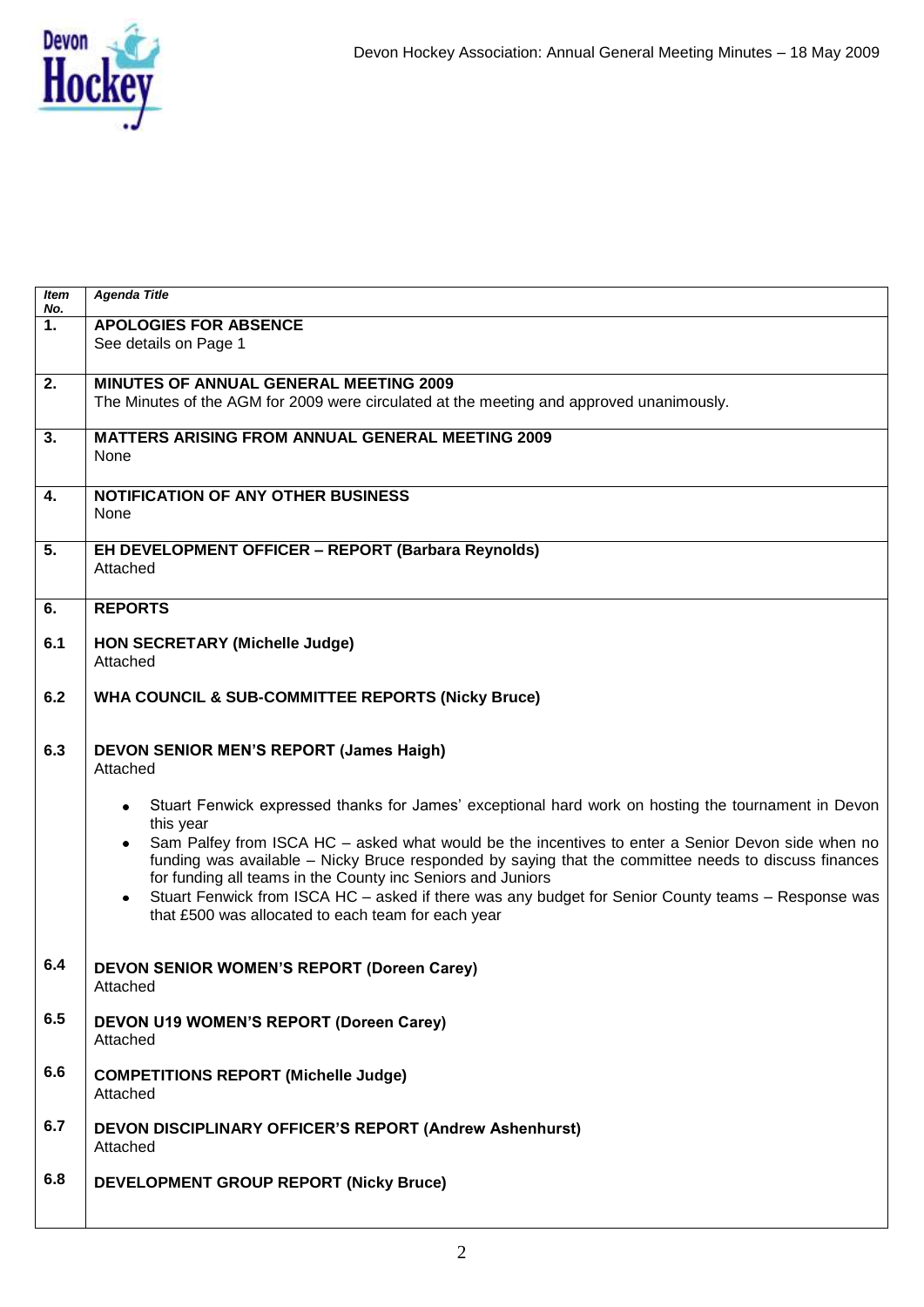

| Item<br>No.      | <b>Agenda Title</b>                                                                                                                                                 |
|------------------|---------------------------------------------------------------------------------------------------------------------------------------------------------------------|
| $\overline{1}$ . | <b>APOLOGIES FOR ABSENCE</b>                                                                                                                                        |
|                  | See details on Page 1                                                                                                                                               |
|                  |                                                                                                                                                                     |
| $\overline{2}$ . | <b>MINUTES OF ANNUAL GENERAL MEETING 2009</b>                                                                                                                       |
|                  | The Minutes of the AGM for 2009 were circulated at the meeting and approved unanimously.                                                                            |
| $\overline{3}$ . | <b>MATTERS ARISING FROM ANNUAL GENERAL MEETING 2009</b>                                                                                                             |
|                  | None                                                                                                                                                                |
|                  |                                                                                                                                                                     |
| $\overline{4}$ . | <b>NOTIFICATION OF ANY OTHER BUSINESS</b>                                                                                                                           |
|                  | None                                                                                                                                                                |
| $\overline{5}$ . | EH DEVELOPMENT OFFICER - REPORT (Barbara Reynolds)                                                                                                                  |
|                  | Attached                                                                                                                                                            |
|                  |                                                                                                                                                                     |
| 6.               | <b>REPORTS</b>                                                                                                                                                      |
|                  |                                                                                                                                                                     |
| 6.1              | <b>HON SECRETARY (Michelle Judge)</b><br>Attached                                                                                                                   |
|                  |                                                                                                                                                                     |
| 6.2              | <b>WHA COUNCIL &amp; SUB-COMMITTEE REPORTS (Nicky Bruce)</b>                                                                                                        |
|                  |                                                                                                                                                                     |
|                  |                                                                                                                                                                     |
| 6.3              | <b>DEVON SENIOR MEN'S REPORT (James Haigh)</b>                                                                                                                      |
|                  | Attached                                                                                                                                                            |
|                  | Stuart Fenwick expressed thanks for James' exceptional hard work on hosting the tournament in Devon<br>٠                                                            |
|                  | this year                                                                                                                                                           |
|                  | Sam Palfey from ISCA HC - asked what would be the incentives to enter a Senior Devon side when no<br>$\bullet$                                                      |
|                  | funding was available - Nicky Bruce responded by saying that the committee needs to discuss finances<br>for funding all teams in the County inc Seniors and Juniors |
|                  | Stuart Fenwick from ISCA HC - asked if there was any budget for Senior County teams - Response was<br>٠                                                             |
|                  | that £500 was allocated to each team for each year                                                                                                                  |
|                  |                                                                                                                                                                     |
|                  |                                                                                                                                                                     |
| 6.4              | <b>DEVON SENIOR WOMEN'S REPORT (Doreen Carey)</b>                                                                                                                   |
|                  | Attached                                                                                                                                                            |
| 6.5              | <b>DEVON U19 WOMEN'S REPORT (Doreen Carey)</b>                                                                                                                      |
|                  | Attached                                                                                                                                                            |
|                  |                                                                                                                                                                     |
| 6.6              | <b>COMPETITIONS REPORT (Michelle Judge)</b>                                                                                                                         |
|                  | Attached                                                                                                                                                            |
| 6.7              | DEVON DISCIPLINARY OFFICER'S REPORT (Andrew Ashenhurst)                                                                                                             |
|                  | Attached                                                                                                                                                            |
|                  |                                                                                                                                                                     |
| 6.8              | <b>DEVELOPMENT GROUP REPORT (Nicky Bruce)</b>                                                                                                                       |
|                  |                                                                                                                                                                     |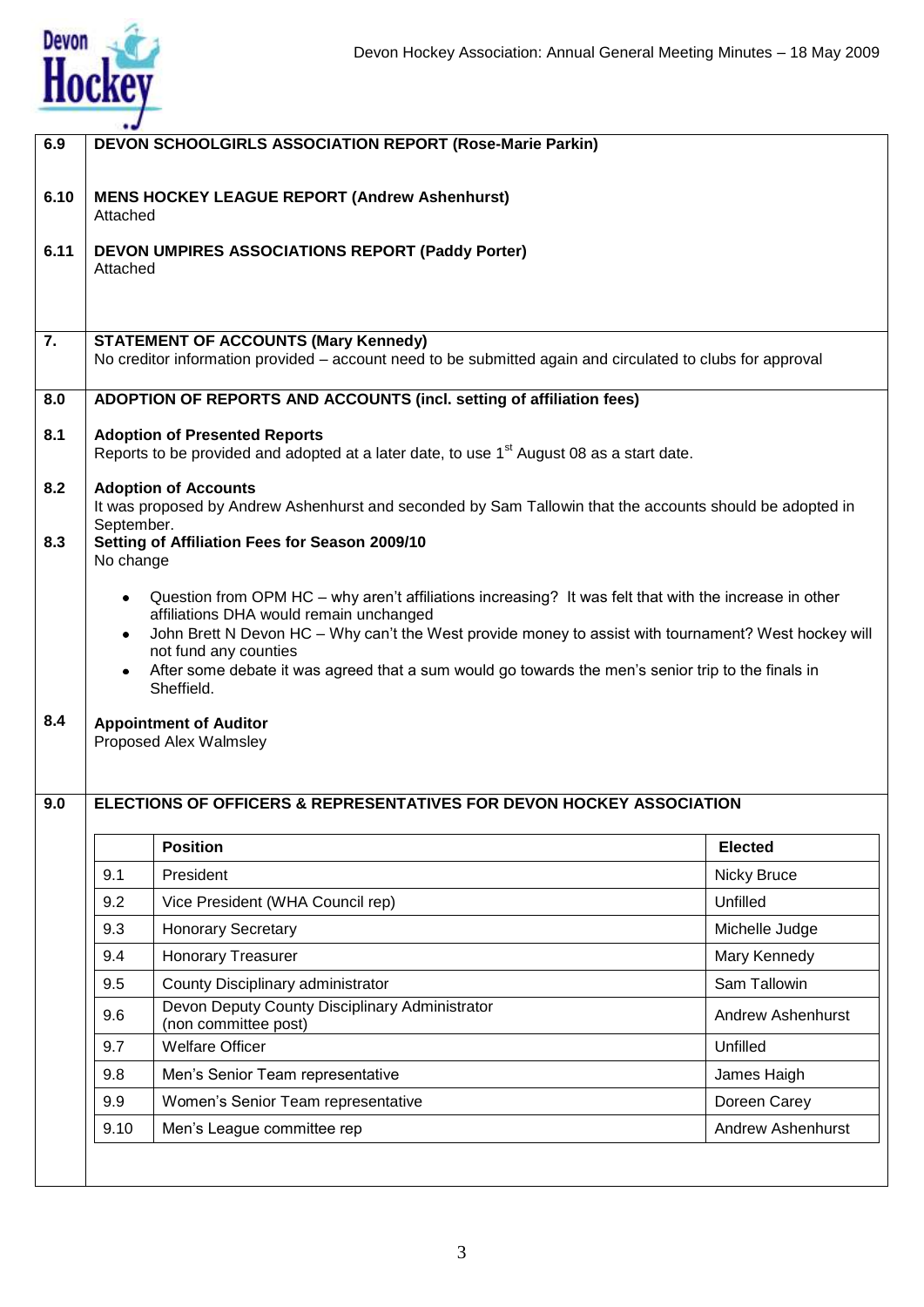

| 6.9  |                | <b>DEVON SCHOOLGIRLS ASSOCIATION REPORT (Rose-Marie Parkin)</b>                                                                                                                                                                                                                                                                                                                                        |                          |
|------|----------------|--------------------------------------------------------------------------------------------------------------------------------------------------------------------------------------------------------------------------------------------------------------------------------------------------------------------------------------------------------------------------------------------------------|--------------------------|
| 6.10 | Attached       | <b>MENS HOCKEY LEAGUE REPORT (Andrew Ashenhurst)</b>                                                                                                                                                                                                                                                                                                                                                   |                          |
| 6.11 | Attached       | DEVON UMPIRES ASSOCIATIONS REPORT (Paddy Porter)                                                                                                                                                                                                                                                                                                                                                       |                          |
| 7.   |                | <b>STATEMENT OF ACCOUNTS (Mary Kennedy)</b><br>No creditor information provided - account need to be submitted again and circulated to clubs for approval                                                                                                                                                                                                                                              |                          |
| 8.0  |                | ADOPTION OF REPORTS AND ACCOUNTS (incl. setting of affiliation fees)                                                                                                                                                                                                                                                                                                                                   |                          |
| 8.1  |                | <b>Adoption of Presented Reports</b><br>Reports to be provided and adopted at a later date, to use 1 <sup>st</sup> August 08 as a start date.                                                                                                                                                                                                                                                          |                          |
| 8.2  | September.     | <b>Adoption of Accounts</b><br>It was proposed by Andrew Ashenhurst and seconded by Sam Tallowin that the accounts should be adopted in                                                                                                                                                                                                                                                                |                          |
| 8.3  | No change      | Setting of Affiliation Fees for Season 2009/10                                                                                                                                                                                                                                                                                                                                                         |                          |
|      | ٠<br>$\bullet$ | Question from OPM HC – why aren't affiliations increasing? It was felt that with the increase in other<br>affiliations DHA would remain unchanged<br>John Brett N Devon HC - Why can't the West provide money to assist with tournament? West hockey will<br>not fund any counties<br>After some debate it was agreed that a sum would go towards the men's senior trip to the finals in<br>Sheffield. |                          |
| 8.4  |                | <b>Appointment of Auditor</b><br>Proposed Alex Walmsley                                                                                                                                                                                                                                                                                                                                                |                          |
| 9.0  |                | <b>ELECTIONS OF OFFICERS &amp; REPRESENTATIVES FOR DEVON HOCKEY ASSOCIATION</b>                                                                                                                                                                                                                                                                                                                        |                          |
|      |                | <b>Position</b>                                                                                                                                                                                                                                                                                                                                                                                        | <b>Elected</b>           |
|      | 9.1            | President                                                                                                                                                                                                                                                                                                                                                                                              | Nicky Bruce              |
|      | 9.2            | Vice President (WHA Council rep)                                                                                                                                                                                                                                                                                                                                                                       | Unfilled                 |
|      | 9.3            | <b>Honorary Secretary</b>                                                                                                                                                                                                                                                                                                                                                                              | Michelle Judge           |
|      | 9.4            | <b>Honorary Treasurer</b>                                                                                                                                                                                                                                                                                                                                                                              | Mary Kennedy             |
|      | 9.5            | County Disciplinary administrator                                                                                                                                                                                                                                                                                                                                                                      | Sam Tallowin             |
|      | 9.6            | Devon Deputy County Disciplinary Administrator<br>(non committee post)                                                                                                                                                                                                                                                                                                                                 | <b>Andrew Ashenhurst</b> |
|      | 9.7            | <b>Welfare Officer</b>                                                                                                                                                                                                                                                                                                                                                                                 | Unfilled                 |
|      | 9.8            | Men's Senior Team representative                                                                                                                                                                                                                                                                                                                                                                       | James Haigh              |
|      | 9.9            | Women's Senior Team representative                                                                                                                                                                                                                                                                                                                                                                     | Doreen Carey             |
|      | 9.10           | Men's League committee rep                                                                                                                                                                                                                                                                                                                                                                             | <b>Andrew Ashenhurst</b> |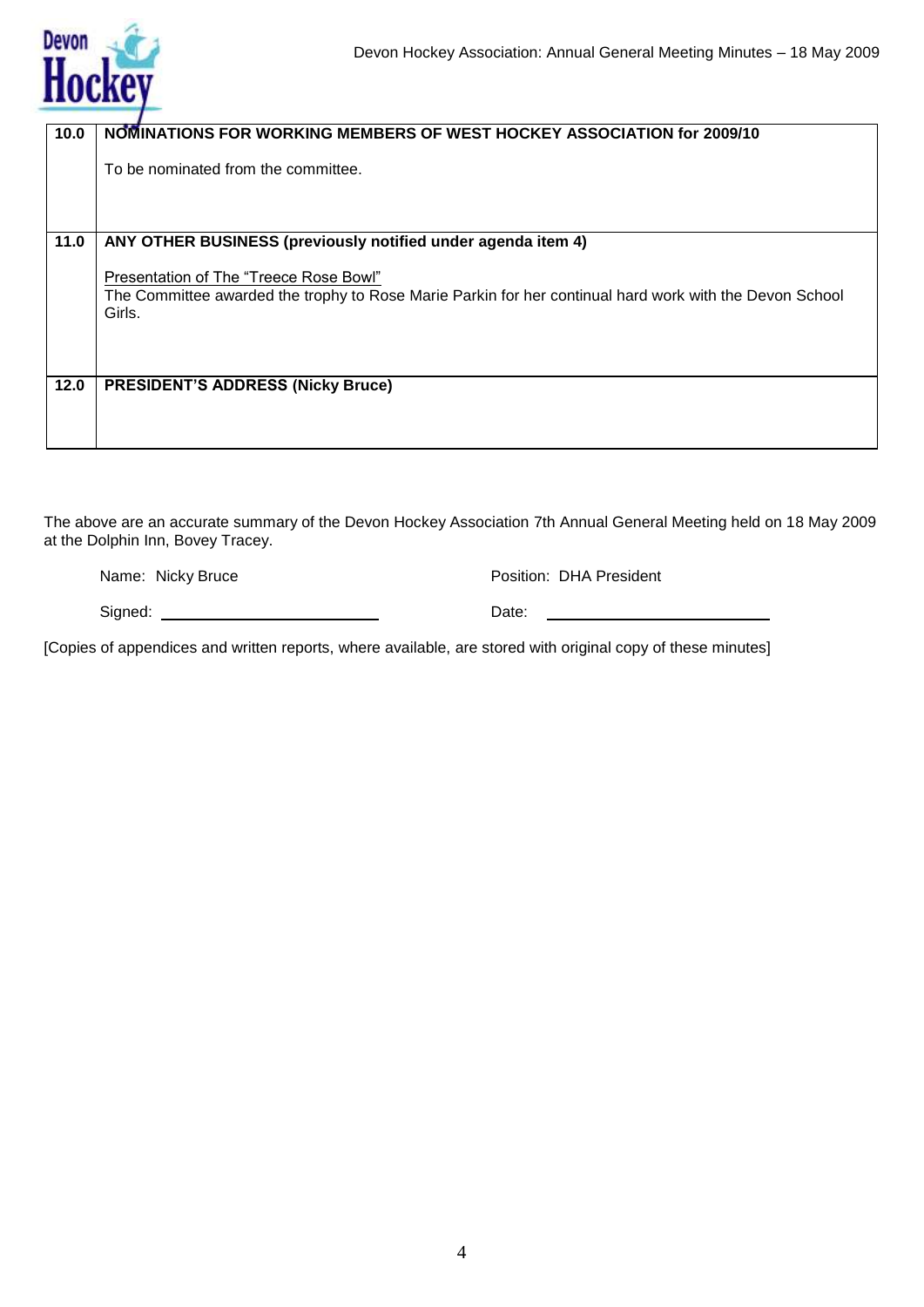| 10.0 | NOMINATIONS FOR WORKING MEMBERS OF WEST HOCKEY ASSOCIATION for 2009/10                                  |
|------|---------------------------------------------------------------------------------------------------------|
|      |                                                                                                         |
|      |                                                                                                         |
|      | To be nominated from the committee.                                                                     |
|      |                                                                                                         |
|      |                                                                                                         |
|      |                                                                                                         |
|      |                                                                                                         |
| 11.0 | ANY OTHER BUSINESS (previously notified under agenda item 4)                                            |
|      |                                                                                                         |
|      |                                                                                                         |
|      | Presentation of The "Treece Rose Bowl"                                                                  |
|      | The Committee awarded the trophy to Rose Marie Parkin for her continual hard work with the Devon School |
|      | Girls.                                                                                                  |
|      |                                                                                                         |
|      |                                                                                                         |
|      |                                                                                                         |
|      |                                                                                                         |
| 12.0 | <b>PRESIDENT'S ADDRESS (Nicky Bruce)</b>                                                                |
|      |                                                                                                         |
|      |                                                                                                         |
|      |                                                                                                         |
|      |                                                                                                         |
|      |                                                                                                         |

The above are an accurate summary of the Devon Hockey Association 7th Annual General Meeting held on 18 May 2009 at the Dolphin Inn, Bovey Tracey.

Name: Nicky Bruce **Position: DHA President** 

| Signed: | Date: |
|---------|-------|
|         |       |

[Copies of appendices and written reports, where available, are stored with original copy of these minutes]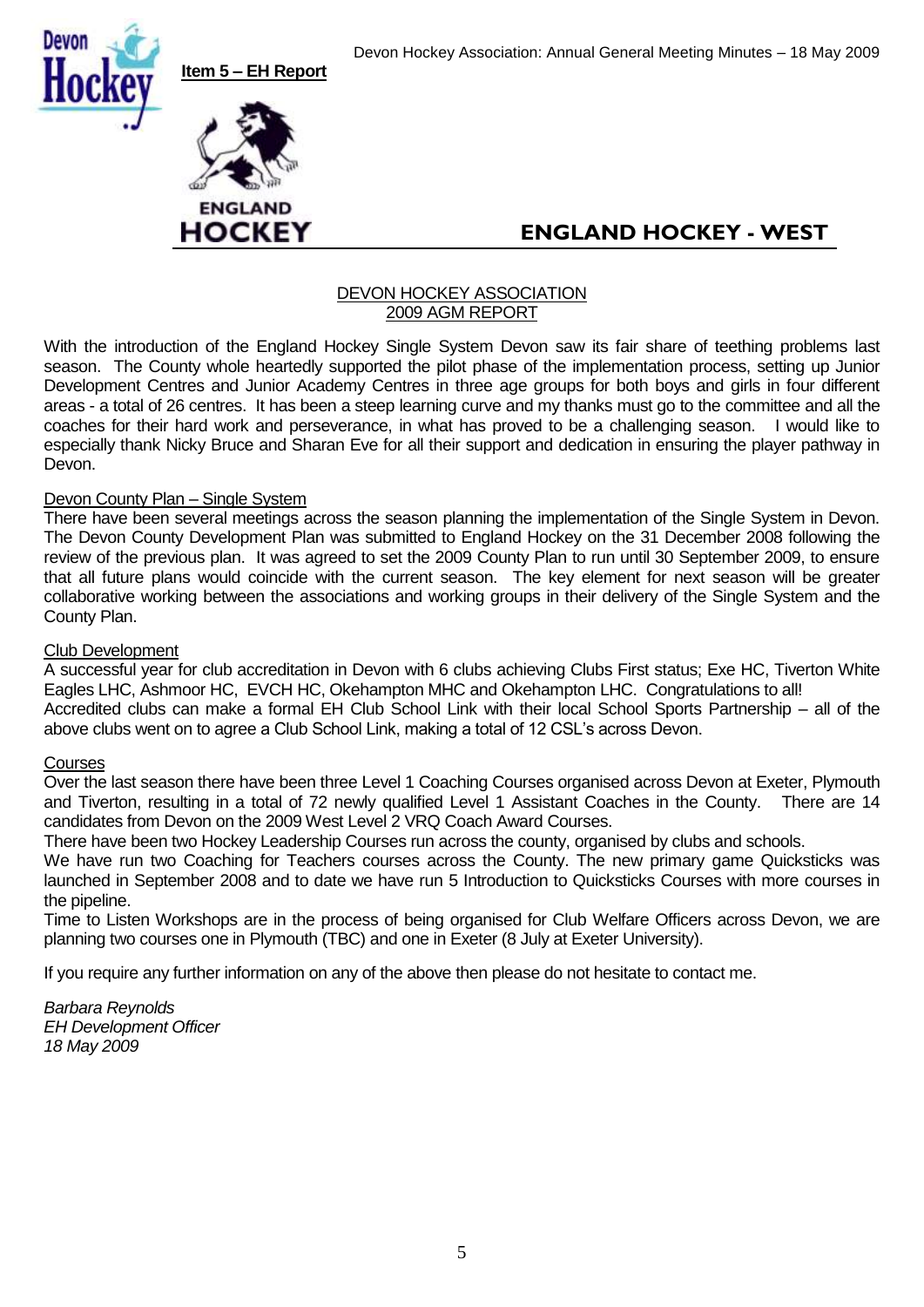





# **ENGLAND HOCKEY - WEST**

#### DEVON HOCKEY ASSOCIATION 2009 AGM REPORT

With the introduction of the England Hockey Single System Devon saw its fair share of teething problems last season. The County whole heartedly supported the pilot phase of the implementation process, setting up Junior Development Centres and Junior Academy Centres in three age groups for both boys and girls in four different areas - a total of 26 centres. It has been a steep learning curve and my thanks must go to the committee and all the coaches for their hard work and perseverance, in what has proved to be a challenging season. I would like to especially thank Nicky Bruce and Sharan Eve for all their support and dedication in ensuring the player pathway in Devon.

#### Devon County Plan - Single System

There have been several meetings across the season planning the implementation of the Single System in Devon. The Devon County Development Plan was submitted to England Hockey on the 31 December 2008 following the review of the previous plan. It was agreed to set the 2009 County Plan to run until 30 September 2009, to ensure that all future plans would coincide with the current season. The key element for next season will be greater collaborative working between the associations and working groups in their delivery of the Single System and the County Plan.

#### Club Development

A successful year for club accreditation in Devon with 6 clubs achieving Clubs First status; Exe HC, Tiverton White Eagles LHC, Ashmoor HC, EVCH HC, Okehampton MHC and Okehampton LHC. Congratulations to all! Accredited clubs can make a formal EH Club School Link with their local School Sports Partnership – all of the

above clubs went on to agree a Club School Link, making a total of 12 CSL"s across Devon.

#### **Courses**

Over the last season there have been three Level 1 Coaching Courses organised across Devon at Exeter, Plymouth and Tiverton, resulting in a total of 72 newly qualified Level 1 Assistant Coaches in the County. There are 14 candidates from Devon on the 2009 West Level 2 VRQ Coach Award Courses.

There have been two Hockey Leadership Courses run across the county, organised by clubs and schools.

We have run two Coaching for Teachers courses across the County. The new primary game Quicksticks was launched in September 2008 and to date we have run 5 Introduction to Quicksticks Courses with more courses in the pipeline.

Time to Listen Workshops are in the process of being organised for Club Welfare Officers across Devon, we are planning two courses one in Plymouth (TBC) and one in Exeter (8 July at Exeter University).

If you require any further information on any of the above then please do not hesitate to contact me.

*Barbara Reynolds EH Development Officer 18 May 2009*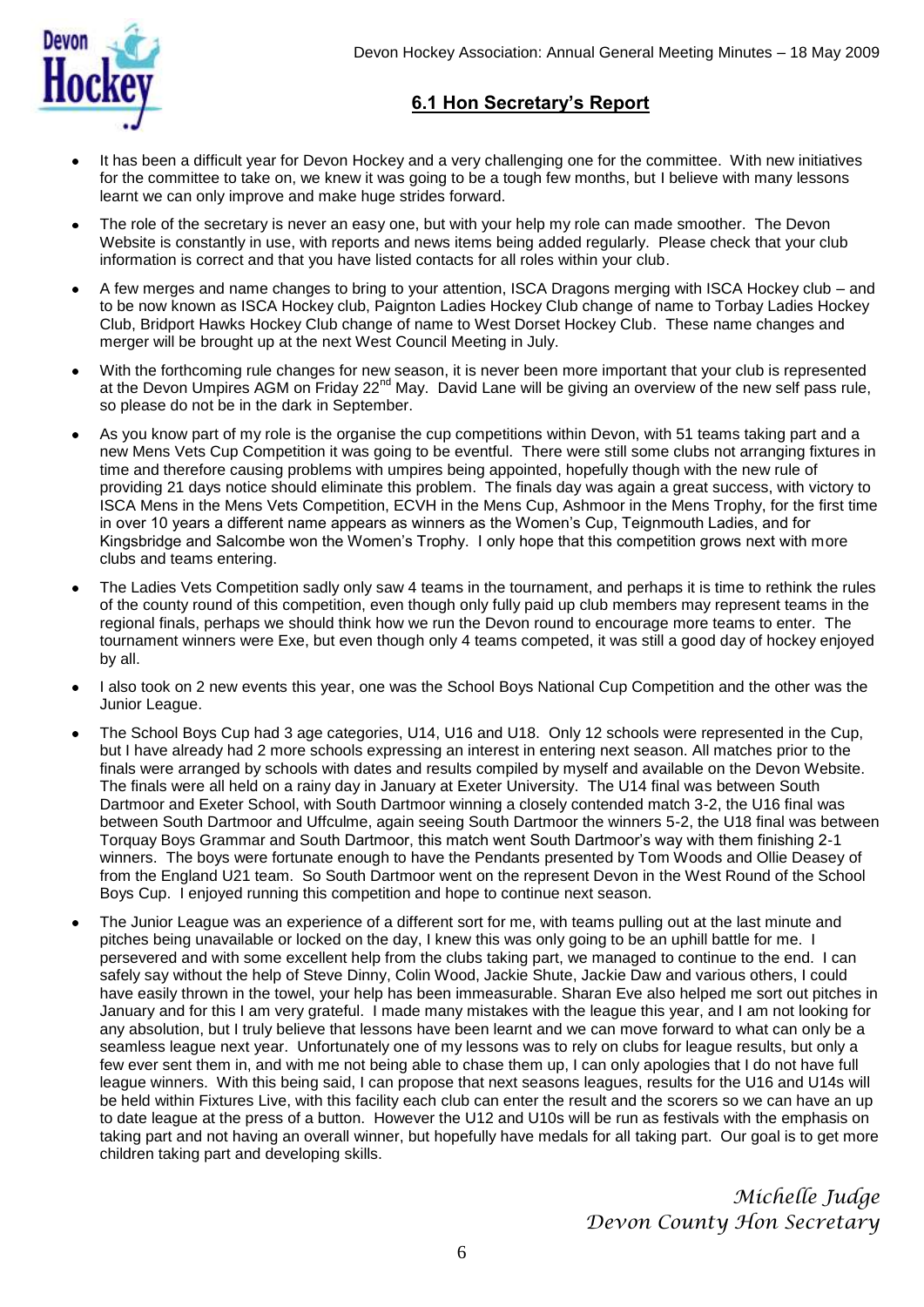

#### **6.1 Hon Secretary's Report**

- It has been a difficult year for Devon Hockey and a very challenging one for the committee. With new initiatives for the committee to take on, we knew it was going to be a tough few months, but I believe with many lessons learnt we can only improve and make huge strides forward.
- The role of the secretary is never an easy one, but with your help my role can made smoother. The Devon Website is constantly in use, with reports and news items being added regularly. Please check that your club information is correct and that you have listed contacts for all roles within your club.
- A few merges and name changes to bring to your attention, ISCA Dragons merging with ISCA Hockey club and  $\bullet$ to be now known as ISCA Hockey club, Paignton Ladies Hockey Club change of name to Torbay Ladies Hockey Club, Bridport Hawks Hockey Club change of name to West Dorset Hockey Club. These name changes and merger will be brought up at the next West Council Meeting in July.
- With the forthcoming rule changes for new season, it is never been more important that your club is represented at the Devon Umpires AGM on Friday 22<sup>nd</sup> May. David Lane will be giving an overview of the new self pass rule, so please do not be in the dark in September.
- As you know part of my role is the organise the cup competitions within Devon, with 51 teams taking part and a new Mens Vets Cup Competition it was going to be eventful. There were still some clubs not arranging fixtures in time and therefore causing problems with umpires being appointed, hopefully though with the new rule of providing 21 days notice should eliminate this problem. The finals day was again a great success, with victory to ISCA Mens in the Mens Vets Competition, ECVH in the Mens Cup, Ashmoor in the Mens Trophy, for the first time in over 10 years a different name appears as winners as the Women"s Cup, Teignmouth Ladies, and for Kingsbridge and Salcombe won the Women"s Trophy. I only hope that this competition grows next with more clubs and teams entering.
- The Ladies Vets Competition sadly only saw 4 teams in the tournament, and perhaps it is time to rethink the rules of the county round of this competition, even though only fully paid up club members may represent teams in the regional finals, perhaps we should think how we run the Devon round to encourage more teams to enter. The tournament winners were Exe, but even though only 4 teams competed, it was still a good day of hockey enjoyed by all.
- I also took on 2 new events this year, one was the School Boys National Cup Competition and the other was the Junior League.
- The School Boys Cup had 3 age categories, U14, U16 and U18. Only 12 schools were represented in the Cup, but I have already had 2 more schools expressing an interest in entering next season. All matches prior to the finals were arranged by schools with dates and results compiled by myself and available on the Devon Website. The finals were all held on a rainy day in January at Exeter University. The U14 final was between South Dartmoor and Exeter School, with South Dartmoor winning a closely contended match 3-2, the U16 final was between South Dartmoor and Uffculme, again seeing South Dartmoor the winners 5-2, the U18 final was between Torquay Boys Grammar and South Dartmoor, this match went South Dartmoor"s way with them finishing 2-1 winners. The boys were fortunate enough to have the Pendants presented by Tom Woods and Ollie Deasey of from the England U21 team. So South Dartmoor went on the represent Devon in the West Round of the School Boys Cup. I enjoyed running this competition and hope to continue next season.
- The Junior League was an experience of a different sort for me, with teams pulling out at the last minute and pitches being unavailable or locked on the day, I knew this was only going to be an uphill battle for me. I persevered and with some excellent help from the clubs taking part, we managed to continue to the end. I can safely say without the help of Steve Dinny, Colin Wood, Jackie Shute, Jackie Daw and various others, I could have easily thrown in the towel, your help has been immeasurable. Sharan Eve also helped me sort out pitches in January and for this I am very grateful. I made many mistakes with the league this year, and I am not looking for any absolution, but I truly believe that lessons have been learnt and we can move forward to what can only be a seamless league next year. Unfortunately one of my lessons was to rely on clubs for league results, but only a few ever sent them in, and with me not being able to chase them up, I can only apologies that I do not have full league winners. With this being said, I can propose that next seasons leagues, results for the U16 and U14s will be held within Fixtures Live, with this facility each club can enter the result and the scorers so we can have an up to date league at the press of a button. However the U12 and U10s will be run as festivals with the emphasis on taking part and not having an overall winner, but hopefully have medals for all taking part. Our goal is to get more children taking part and developing skills.

*Michelle Judge Devon County Hon Secretary*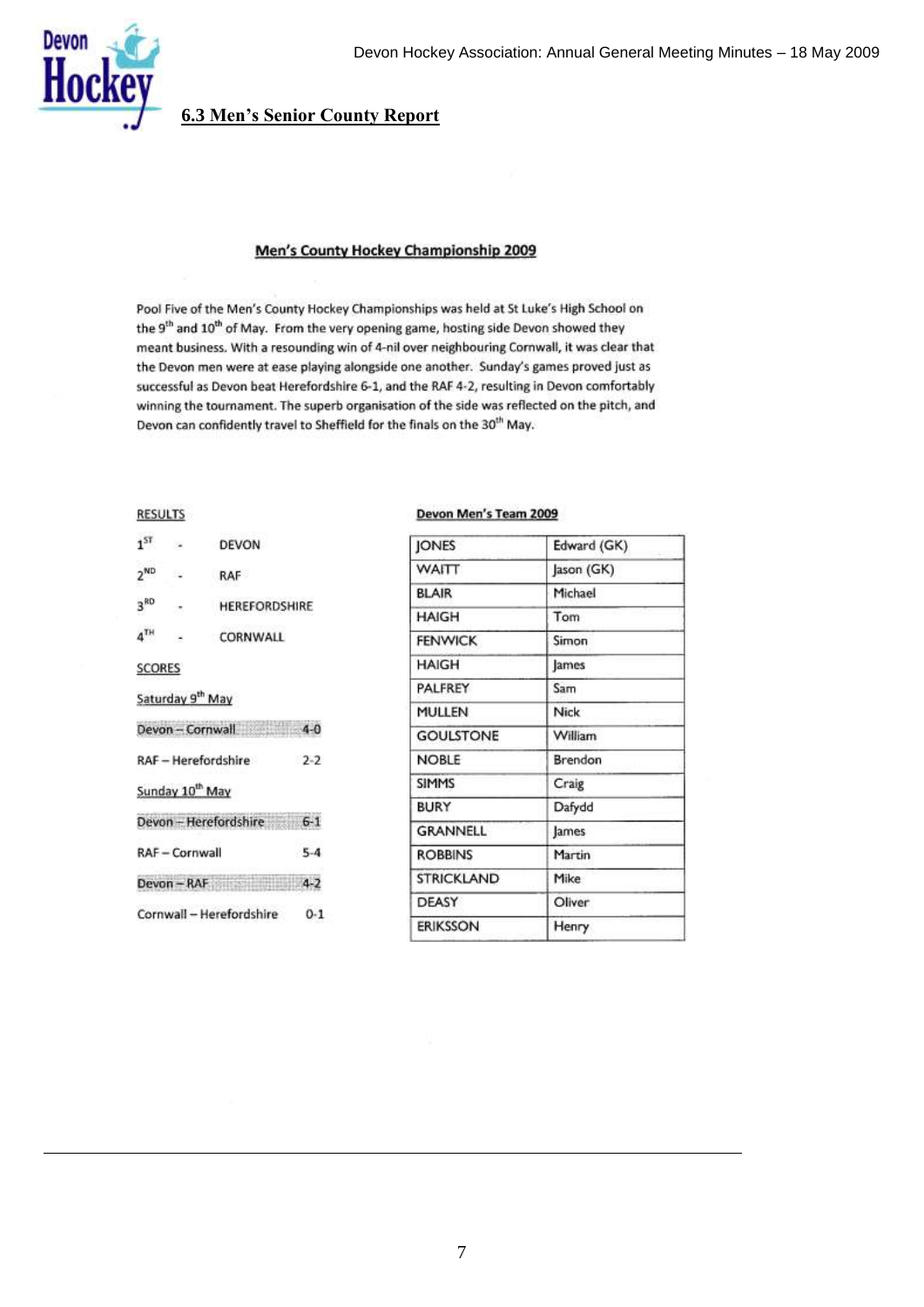



# **6.3 Men's Senior County Report**

#### Men's County Hockey Championship 2009

Pool Five of the Men's County Hockey Championships was held at St Luke's High School on the 9<sup>th</sup> and 10<sup>th</sup> of May. From the very opening game, hosting side Devon showed they meant business. With a resounding win of 4-nil over neighbouring Cornwall, it was clear that the Devon men were at ease playing alongside one another. Sunday's games proved just as successful as Devon beat Herefordshire 6-1, and the RAF 4-2, resulting in Devon comfortably winning the tournament. The superb organisation of the side was reflected on the pitch, and Devon can confidently travel to Sheffield for the finals on the 30<sup>th</sup> May.

#### **RESULTS**

| $1^{ST}$        | ×.                           | <b>DEVON</b>               |         |
|-----------------|------------------------------|----------------------------|---------|
| $2^{ND}$        | Ñ.                           | RAF                        |         |
| 3 <sup>RD</sup> | 15                           | <b>HEREFORDSHIRE</b>       |         |
| $4^{TH}$        | $\overline{\phantom{a}}$     | CORNWALL                   |         |
| <b>SCORES</b>   |                              |                            |         |
|                 | Saturday 9 <sup>th</sup> May |                            |         |
|                 |                              | Devon-Cornwall 4-0         |         |
|                 |                              | <b>RAF - Herefordshire</b> | $2 - 2$ |
|                 | Sunday 10 <sup>th</sup> May  |                            |         |
|                 |                              | Devon - Herefordshire 6-1  |         |
|                 | RAF - Cornwall               |                            | $5-4$   |
|                 |                              | Devon-RAF 4-2              |         |
|                 |                              | Cornwall - Herefordshire   | $0 - 1$ |

#### Devon Men's Team 2009

| <b>JONES</b>      | Edward (GK) |
|-------------------|-------------|
| <b>WAITT</b>      | Jason (GK)  |
| <b>BLAIR</b>      | Michael     |
| <b>HAIGH</b>      | Tom         |
| <b>FENWICK</b>    | Simon       |
| <b>HAIGH</b>      | lames       |
| PALFREY           | Sam         |
| <b>MULLEN</b>     | Nick        |
| <b>GOULSTONE</b>  | William     |
| <b>NOBLE</b>      | Brendon     |
| <b>SIMMS</b>      | Craig       |
| BURY              | Dafydd      |
| <b>GRANNELL</b>   | James       |
| <b>ROBBINS</b>    | Martin      |
| <b>STRICKLAND</b> | Mike        |
| <b>DEASY</b>      | Oliver      |
| ERIKSSON          | Henry       |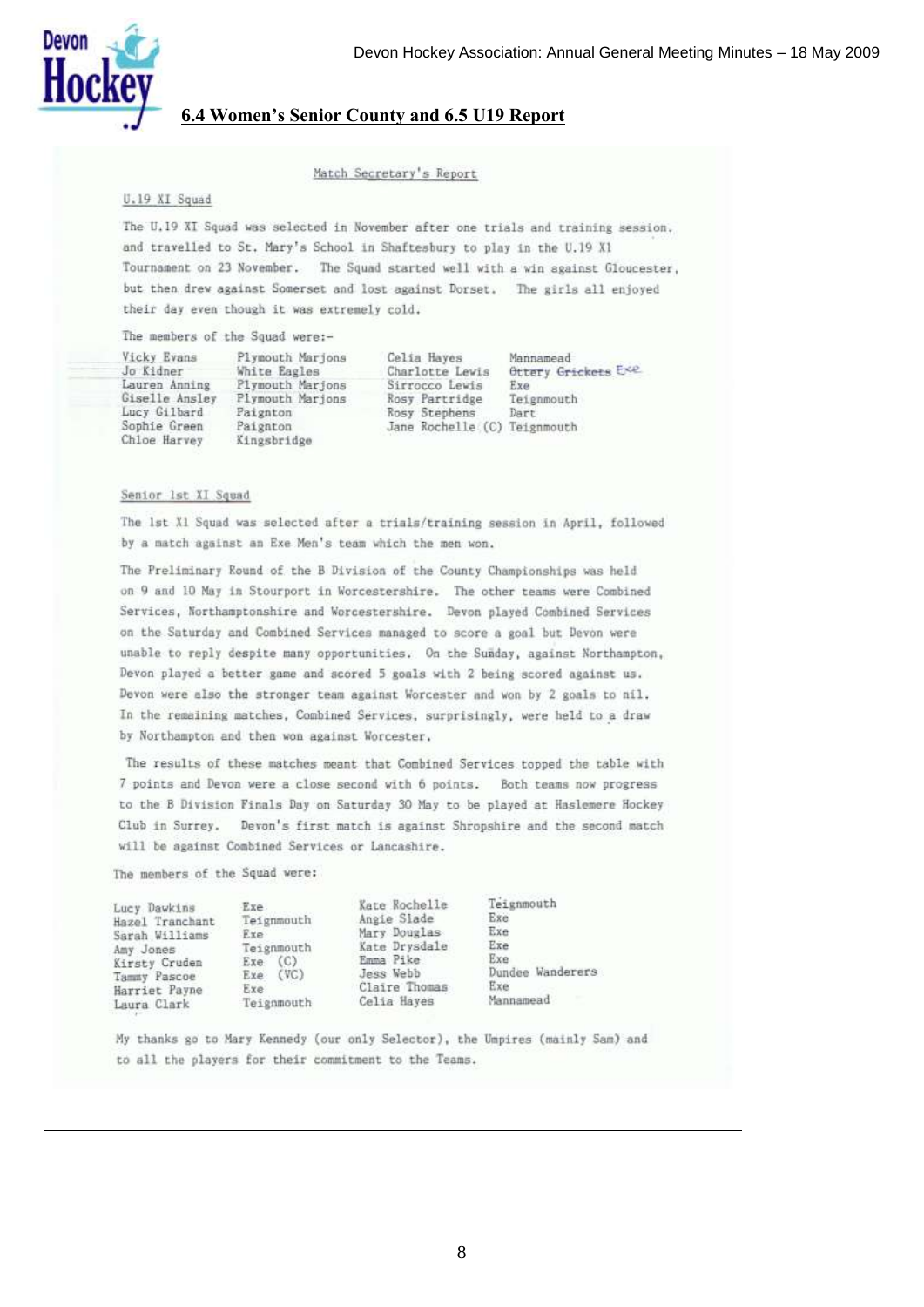

#### **6.4 Women's Senior County and 6.5 U19 Report**

#### Match Secretary's Report

#### U.19 XI Squad

The U.19 XI Squad was selected in November after one trials and training session. and travelled to St. Mary's School in Shaftesbury to play in the U.19 X1 Tournament on 23 November. The Squad started well with a win against Gloucester, but then drew against Somerset and lost against Dorset. The girls all enjoyed their day even though it was extremely cold.

The members of the Squad were:-

| Vicky Evans                                                                     | Plymouth Marjons                                                            | Celia Haves                                                                       | Mannamead                 |
|---------------------------------------------------------------------------------|-----------------------------------------------------------------------------|-----------------------------------------------------------------------------------|---------------------------|
| Jo Kidner                                                                       | White Eagles                                                                | Charlotte Lewis                                                                   | Ottery Grickets Exe       |
| Lauren Anning<br>Giselle Ansley<br>Lucy Gilbard<br>Sophie Green<br>Chloe Harvey | Plymouth Marjons<br>Plymouth Marions<br>Paignton<br>Paignton<br>Kingsbridge | Sirrocco Lewis<br>Rosy Partridge<br>Rosy Stephens<br>Jane Rochelle (C) Teignmouth | Exe<br>Teignmouth<br>Dart |

#### Senior 1st XI Squad

The 1st X1 Squad was selected after a trials/training session in April, followed by a match against an Exe Men's team which the men won.

The Preliminary Round of the B Division of the County Championships was held on 9 and 10 May in Stourport in Worcestershire. The other teams were Combined Services, Northamptonshire and Worcestershire. Devon played Combined Services on the Saturday and Combined Services managed to score a goal but Devon were unable to reply despite many opportunities. On the Sunday, against Northampton, Devon played a better game and scored 5 goals with 2 being scored against us. Devon were also the stronger team against Worcester and won by 2 goals to nil. In the remaining matches, Combined Services, surprisingly, were held to a draw by Northampton and then won against Worcester.

The results of these matches meant that Combined Services topped the table with 7 points and Devon were a close second with 6 points. Both teams now progress to the B Division Finals Day on Saturday 30 May to be played at Haslemere Hockey Club in Surrey. Devon's first match is against Shropshire and the second match will be against Combined Services or Lancashire.

The members of the Squad were:

| Exe                        |
|----------------------------|
| Hazel Tranchant Teignmouth |
| Exe                        |
| Teignmouth                 |
| $Exe$ $(C)$                |
| Exe (VC)                   |
| Exe                        |
| Teignmouth                 |
|                            |

Kate Rochelle Angie Slade Mary Douglas Kate Drysdale Emma Pike Jess Webb Claire Thomas Celia Hayes

Teignmouth Exe Exe Exe Exe Dundee Wanderers Exe Mannamead

My thanks go to Mary Kennedy (our only Selector), the Umpires (mainly Sam) and to all the players for their commitment to the Teams.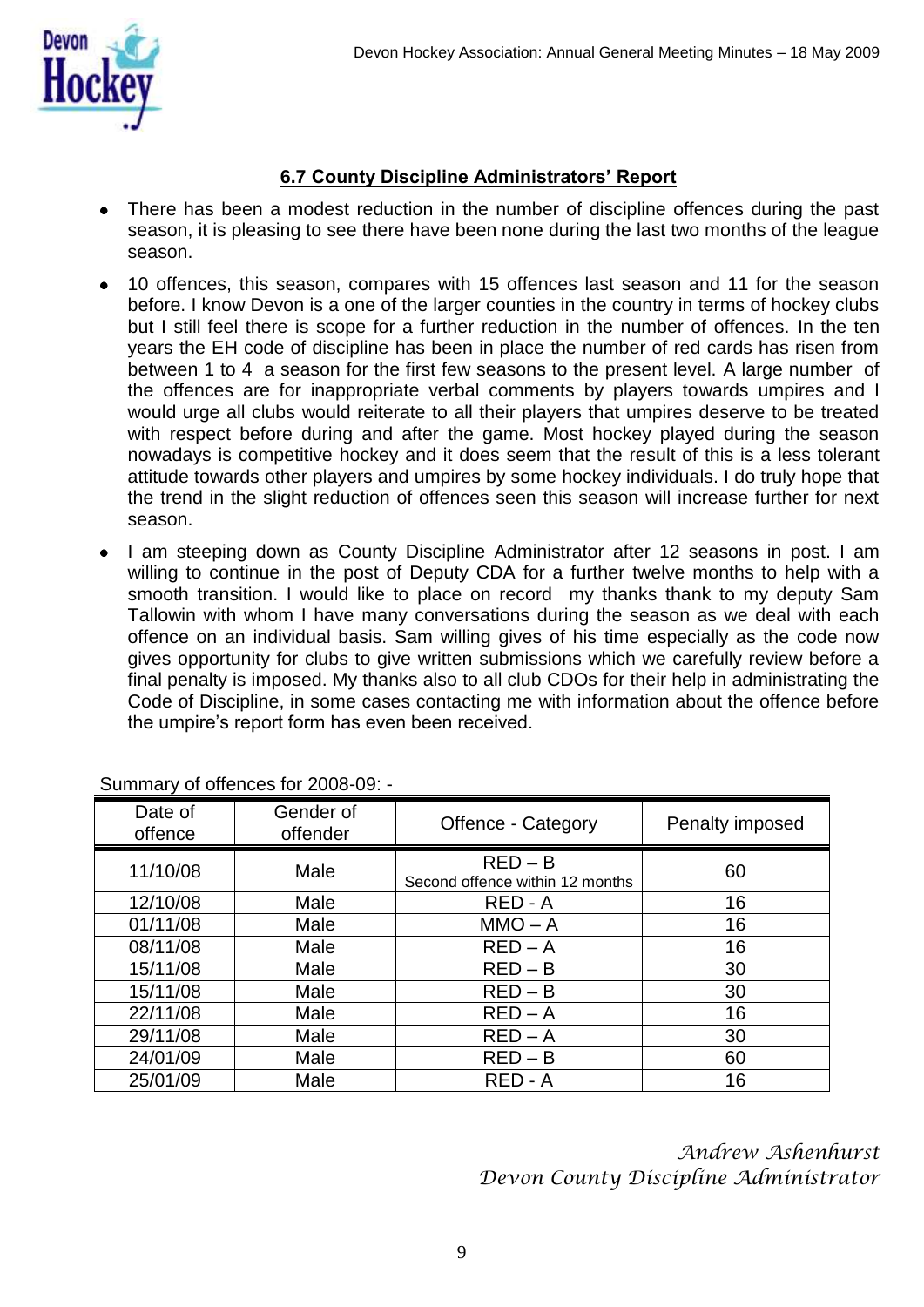

## **6.7 County Discipline Administrators' Report**

- There has been a modest reduction in the number of discipline offences during the past season, it is pleasing to see there have been none during the last two months of the league season.
- 10 offences, this season, compares with 15 offences last season and 11 for the season before. I know Devon is a one of the larger counties in the country in terms of hockey clubs but I still feel there is scope for a further reduction in the number of offences. In the ten years the EH code of discipline has been in place the number of red cards has risen from between 1 to 4 a season for the first few seasons to the present level. A large number of the offences are for inappropriate verbal comments by players towards umpires and I would urge all clubs would reiterate to all their players that umpires deserve to be treated with respect before during and after the game. Most hockey played during the season nowadays is competitive hockey and it does seem that the result of this is a less tolerant attitude towards other players and umpires by some hockey individuals. I do truly hope that the trend in the slight reduction of offences seen this season will increase further for next season.
- I am steeping down as County Discipline Administrator after 12 seasons in post. I am willing to continue in the post of Deputy CDA for a further twelve months to help with a smooth transition. I would like to place on record my thanks thank to my deputy Sam Tallowin with whom I have many conversations during the season as we deal with each offence on an individual basis. Sam willing gives of his time especially as the code now gives opportunity for clubs to give written submissions which we carefully review before a final penalty is imposed. My thanks also to all club CDOs for their help in administrating the Code of Discipline, in some cases contacting me with information about the offence before the umpire's report form has even been received.

| Date of<br>offence | Gender of<br>offender | Offence - Category                           | Penalty imposed |
|--------------------|-----------------------|----------------------------------------------|-----------------|
| 11/10/08           | Male                  | $RED - B$<br>Second offence within 12 months | 60              |
| 12/10/08           | Male                  | RED - A                                      | 16              |
| 01/11/08           | Male                  | $MMO - A$                                    | 16              |
| 08/11/08           | Male                  | $RED - A$                                    | 16              |
| 15/11/08           | Male                  | $RED - B$                                    | 30              |
| 15/11/08           | Male                  | $RED - B$                                    | 30              |
| 22/11/08           | Male                  | $RED - A$                                    | 16              |
| 29/11/08           | Male                  | $RED - A$                                    | 30              |
| 24/01/09           | Male                  | $RED - B$                                    | 60              |
| 25/01/09           | Male                  | RED - A                                      | 16              |

Summary of offences for 2008-09: -

*Andrew Ashenhurst Devon County Discipline Administrator*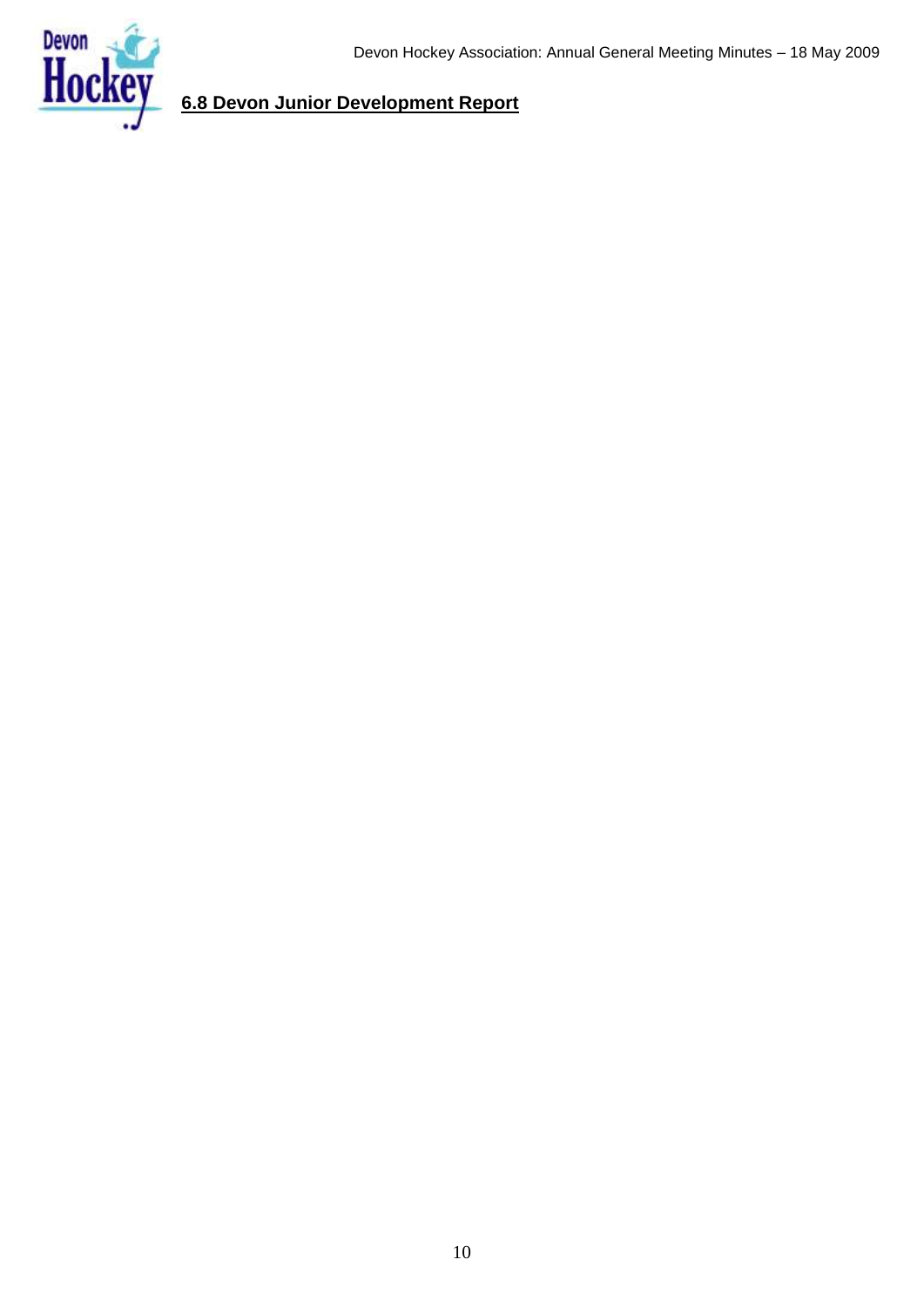

# **6.8 Devon Junior Development Report**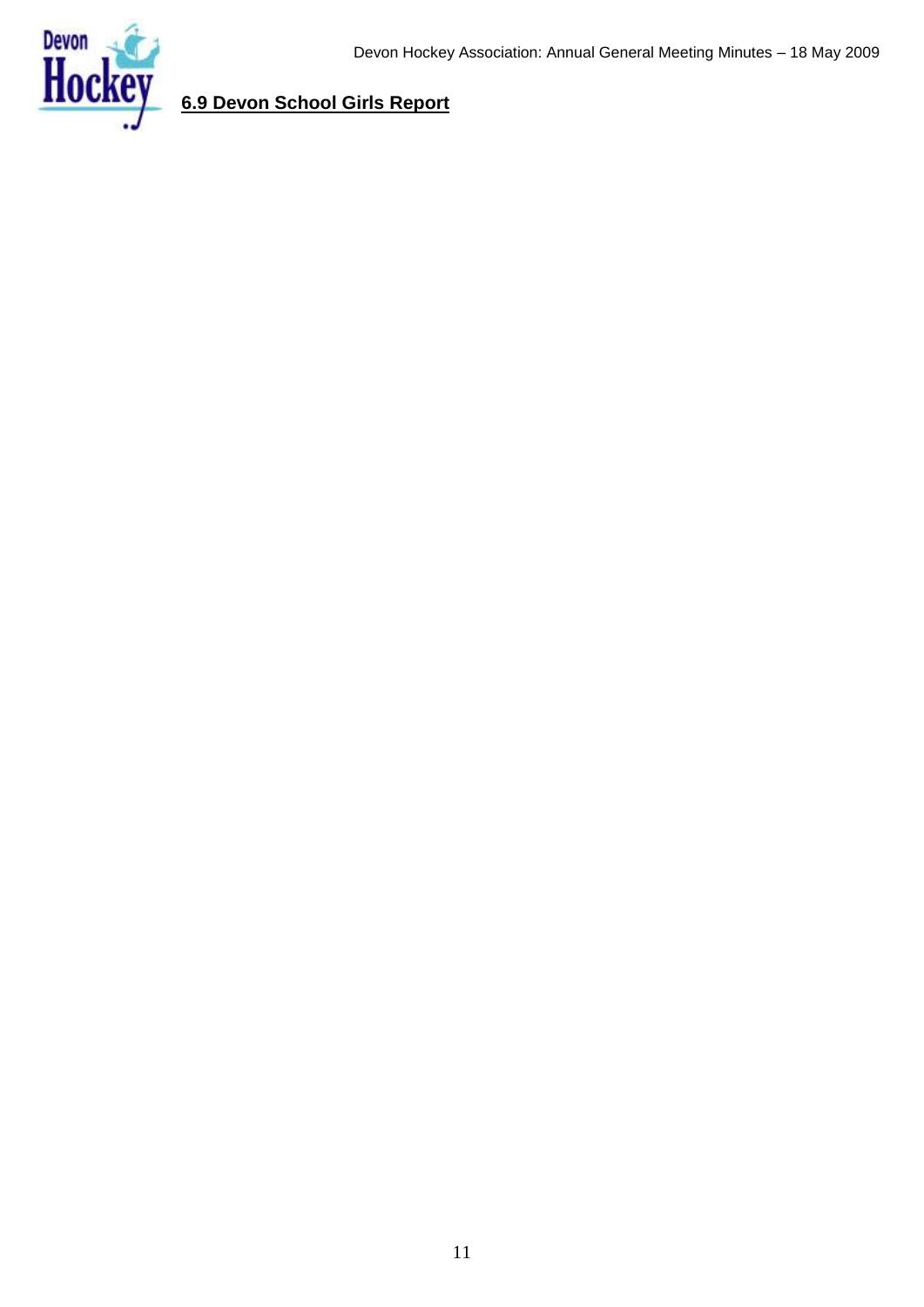

# **6.9 Devon School Girls Report**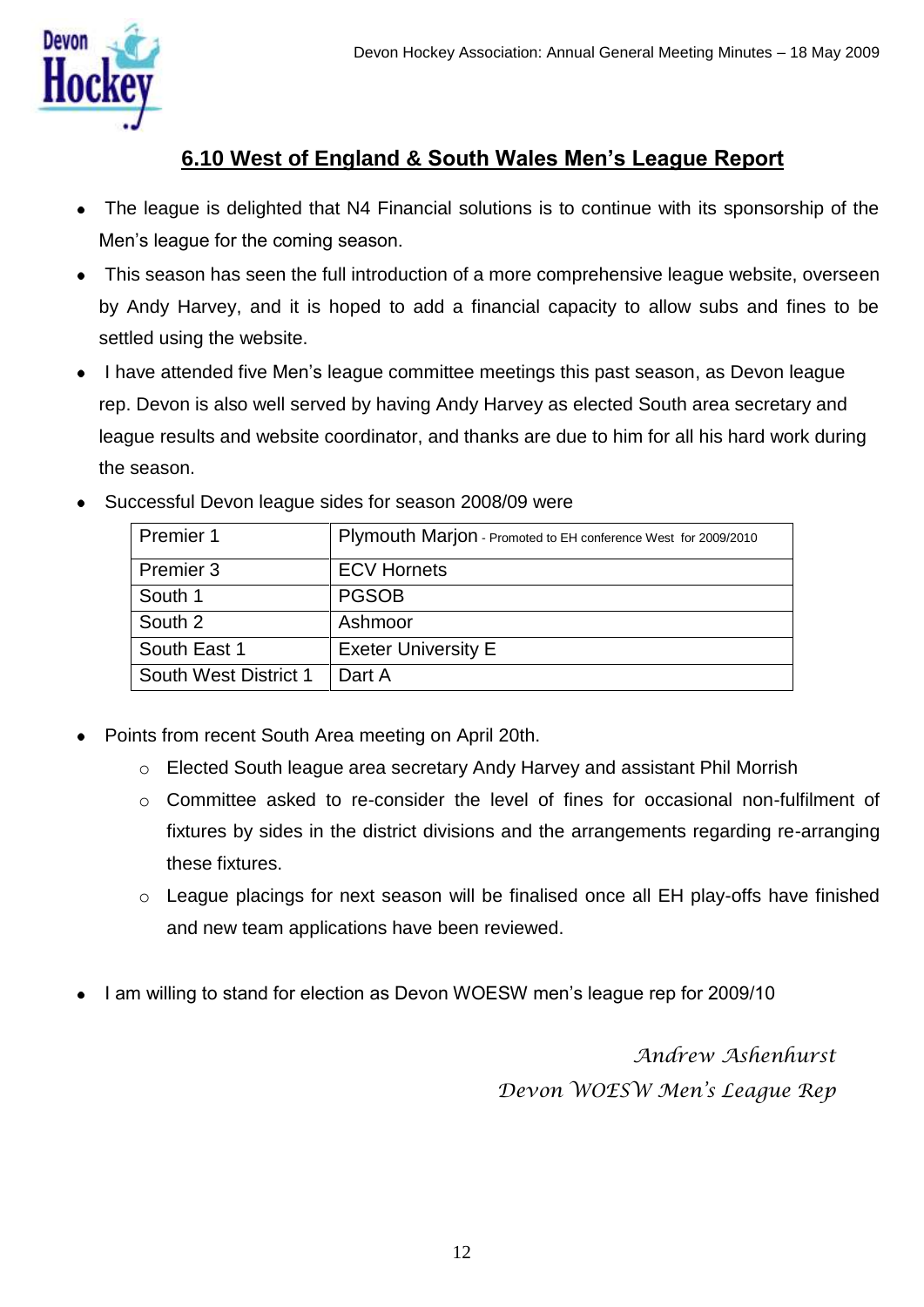

# **6.10 West of England & South Wales Men's League Report**

- The league is delighted that N4 Financial solutions is to continue with its sponsorship of the Men"s league for the coming season.
- This season has seen the full introduction of a more comprehensive league website, overseen by Andy Harvey, and it is hoped to add a financial capacity to allow subs and fines to be settled using the website.
- I have attended five Men's league committee meetings this past season, as Devon league rep. Devon is also well served by having Andy Harvey as elected South area secretary and league results and website coordinator, and thanks are due to him for all his hard work during the season.

|  | Successful Devon league sides for season 2008/09 were |  |  |  |  |  |
|--|-------------------------------------------------------|--|--|--|--|--|
|--|-------------------------------------------------------|--|--|--|--|--|

| Premier 1             | Plymouth Marjon - Promoted to EH conference West for 2009/2010 |
|-----------------------|----------------------------------------------------------------|
| Premier 3             | <b>ECV Hornets</b>                                             |
| South 1               | <b>PGSOB</b>                                                   |
| South 2               | Ashmoor                                                        |
| South East 1          | <b>Exeter University E</b>                                     |
| South West District 1 | Dart A                                                         |

- Points from recent South Area meeting on April 20th.
	- o Elected South league area secretary Andy Harvey and assistant Phil Morrish
	- o Committee asked to re-consider the level of fines for occasional non-fulfilment of fixtures by sides in the district divisions and the arrangements regarding re-arranging these fixtures.
	- o League placings for next season will be finalised once all EH play-offs have finished and new team applications have been reviewed.
- I am willing to stand for election as Devon WOESW men"s league rep for 2009/10

*Andrew Ashenhurst Devon WOESW Men's League Rep*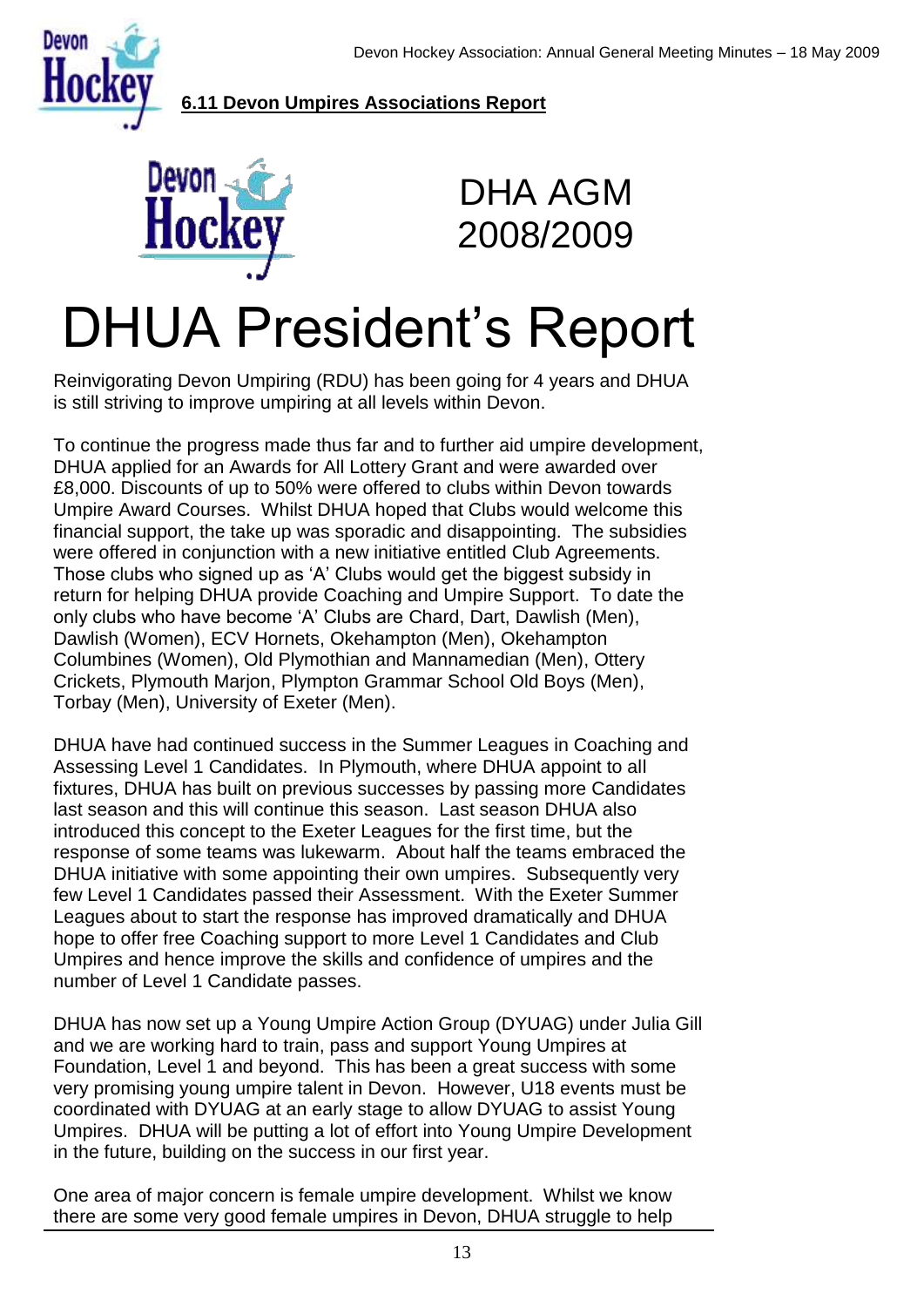

### **6.11 Devon Umpires Associations Report**



DHA AGM 2008/2009

# DHUA President"s Report

Reinvigorating Devon Umpiring (RDU) has been going for 4 years and DHUA is still striving to improve umpiring at all levels within Devon.

To continue the progress made thus far and to further aid umpire development, DHUA applied for an Awards for All Lottery Grant and were awarded over £8,000. Discounts of up to 50% were offered to clubs within Devon towards Umpire Award Courses. Whilst DHUA hoped that Clubs would welcome this financial support, the take up was sporadic and disappointing. The subsidies were offered in conjunction with a new initiative entitled Club Agreements. Those clubs who signed up as 'A' Clubs would get the biggest subsidy in return for helping DHUA provide Coaching and Umpire Support. To date the only clubs who have become "A" Clubs are Chard, Dart, Dawlish (Men), Dawlish (Women), ECV Hornets, Okehampton (Men), Okehampton Columbines (Women), Old Plymothian and Mannamedian (Men), Ottery Crickets, Plymouth Marjon, Plympton Grammar School Old Boys (Men), Torbay (Men), University of Exeter (Men).

DHUA have had continued success in the Summer Leagues in Coaching and Assessing Level 1 Candidates. In Plymouth, where DHUA appoint to all fixtures, DHUA has built on previous successes by passing more Candidates last season and this will continue this season. Last season DHUA also introduced this concept to the Exeter Leagues for the first time, but the response of some teams was lukewarm. About half the teams embraced the DHUA initiative with some appointing their own umpires. Subsequently very few Level 1 Candidates passed their Assessment. With the Exeter Summer Leagues about to start the response has improved dramatically and DHUA hope to offer free Coaching support to more Level 1 Candidates and Club Umpires and hence improve the skills and confidence of umpires and the number of Level 1 Candidate passes.

DHUA has now set up a Young Umpire Action Group (DYUAG) under Julia Gill and we are working hard to train, pass and support Young Umpires at Foundation, Level 1 and beyond. This has been a great success with some very promising young umpire talent in Devon. However, U18 events must be coordinated with DYUAG at an early stage to allow DYUAG to assist Young Umpires. DHUA will be putting a lot of effort into Young Umpire Development in the future, building on the success in our first year.

One area of major concern is female umpire development. Whilst we know there are some very good female umpires in Devon, DHUA struggle to help